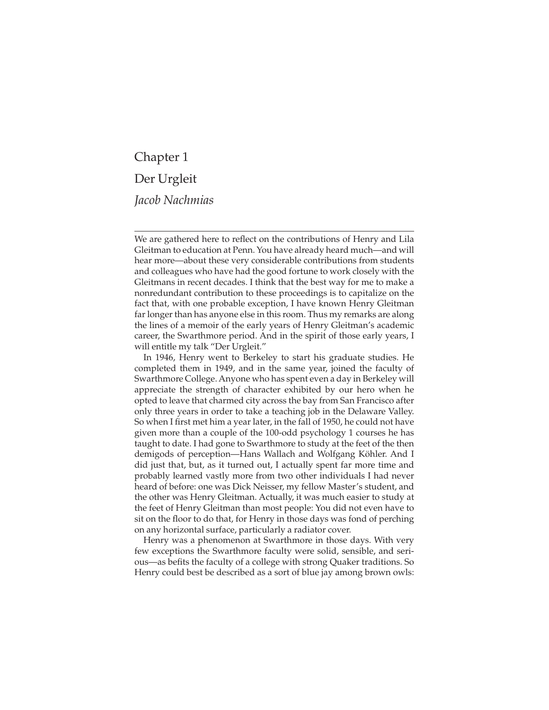## Chapter 1 Der Urgleit *Jacob Nachmias*

We are gathered here to reflect on the contributions of Henry and Lila Gleitman to education at Penn. You have already heard much—and will hear more—about these very considerable contributions from students and colleagues who have had the good fortune to work closely with the Gleitmans in recent decades. I think that the best way for me to make a nonredundant contribution to these proceedings is to capitalize on the fact that, with one probable exception, I have known Henry Gleitman far longer than has anyone else in this room. Thus my remarks are along the lines of a memoir of the early years of Henry Gleitman's academic career, the Swarthmore period. And in the spirit of those early years, I will entitle my talk "Der Urgleit."

In 1946, Henry went to Berkeley to start his graduate studies. He completed them in 1949, and in the same year, joined the faculty of Swarthmore College. Anyone who has spent even a day in Berkeley will appreciate the strength of character exhibited by our hero when he opted to leave that charmed city across the bay from San Francisco after only three years in order to take a teaching job in the Delaware Valley. So when I first met him a year later, in the fall of 1950, he could not have given more than a couple of the 100-odd psychology 1 courses he has taught to date. I had gone to Swarthmore to study at the feet of the then demigods of perception—Hans Wallach and Wolfgang Köhler. And I did just that, but, as it turned out, I actually spent far more time and probably learned vastly more from two other individuals I had never heard of before: one was Dick Neisser, my fellow Master's student, and the other was Henry Gleitman. Actually, it was much easier to study at the feet of Henry Gleitman than most people: You did not even have to sit on the floor to do that, for Henry in those days was fond of perching on any horizontal surface, particularly a radiator cover.

Henry was a phenomenon at Swarthmore in those days. With very [few exceptions the Swarthmore faculty were solid, sensible, and seri](#page--1-0)ous—as befits the faculty of a college with strong Quaker traditions. So Henry could best be described as a sort of blue jay among brown owls: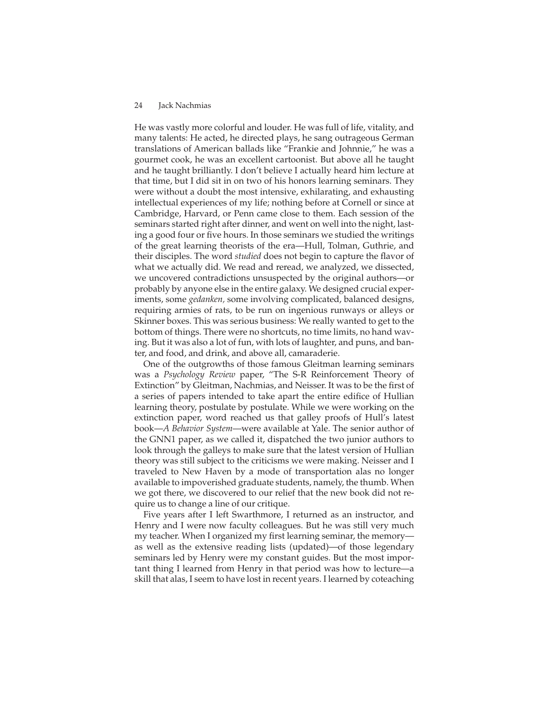## 24 Jack Nachmias

He was vastly more colorful and louder. He was full of life, vitality, and many talents: He acted, he directed plays, he sang outrageous German translations of American ballads like "Frankie and Johnnie," he was a gourmet cook, he was an excellent cartoonist. But above all he taught and he taught brilliantly. I don't believe I actually heard him lecture at that time, but I did sit in on two of his honors learning seminars. They were without a doubt the most intensive, exhilarating, and exhausting intellectual experiences of my life; nothing before at Cornell or since at Cambridge, Harvard, or Penn came close to them. Each session of the seminars started right after dinner, and went on well into the night, lasting a good four or five hours. In those seminars we studied the writings of the great learning theorists of the era—Hull, Tolman, Guthrie, and their disciples. The word *studied* does not begin to capture the flavor of what we actually did. We read and reread, we analyzed, we dissected, we uncovered contradictions unsuspected by the original authors—or probably by anyone else in the entire galaxy. We designed crucial experiments, some *gedanken,* some involving complicated, balanced designs, requiring armies of rats, to be run on ingenious runways or alleys or Skinner boxes. This was serious business: We really wanted to get to the bottom of things. There were no shortcuts, no time limits, no hand waving. But it was also a lot of fun, with lots of laughter, and puns, and banter, and food, and drink, and above all, camaraderie.

One of the outgrowths of those famous Gleitman learning seminars was a *Psychology Review* paper, "The S-R Reinforcement Theory of Extinction" by Gleitman, Nachmias, and Neisser. It was to be the first of a series of papers intended to take apart the entire edifice of Hullian learning theory, postulate by postulate. While we were working on the extinction paper, word reached us that galley proofs of Hull's latest book—*A Behavior System*—were available at Yale. The senior author of the GNN1 paper, as we called it, dispatched the two junior authors to look through the galleys to make sure that the latest version of Hullian theory was still subject to the criticisms we were making. Neisser and I traveled to New Haven by a mode of transportation alas no longer available to impoverished graduate students, namely, the thumb. When we got there, we discovered to our relief that the new book did not require us to change a line of our critique.

Five years after I left Swarthmore, I returned as an instructor, and Henry and I were now faculty colleagues. But he was still very much my teacher. When I organized my first learning seminar, the memory as well as the extensive reading lists (updated)—of those legendary seminars led by Henry were my constant guides. But the most important thing I learned from Henry in that period was how to lecture—a skill that alas, I seem to have lost in recent years. I learned by coteaching